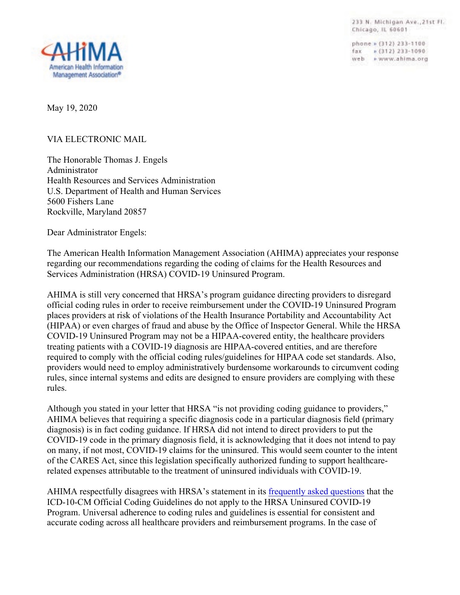233 N. Michigan Ave., 21st Fl. Chicago, IL 60601

phone » (312) 233-1100 fax = (312) 233-1090 web + www.ahima.org



May 19, 2020

VIA ELECTRONIC MAIL

The Honorable Thomas J. Engels Administrator Health Resources and Services Administration U.S. Department of Health and Human Services 5600 Fishers Lane Rockville, Maryland 20857

Dear Administrator Engels:

The American Health Information Management Association (AHIMA) appreciates your response regarding our recommendations regarding the coding of claims for the Health Resources and Services Administration (HRSA) COVID-19 Uninsured Program.

AHIMA is still very concerned that HRSA's program guidance directing providers to disregard official coding rules in order to receive reimbursement under the COVID-19 Uninsured Program places providers at risk of violations of the Health Insurance Portability and Accountability Act (HIPAA) or even charges of fraud and abuse by the Office of Inspector General. While the HRSA COVID-19 Uninsured Program may not be a HIPAA-covered entity, the healthcare providers treating patients with a COVID-19 diagnosis are HIPAA-covered entities, and are therefore required to comply with the official coding rules/guidelines for HIPAA code set standards. Also, providers would need to employ administratively burdensome workarounds to circumvent coding rules, since internal systems and edits are designed to ensure providers are complying with these rules.

Although you stated in your letter that HRSA "is not providing coding guidance to providers," AHIMA believes that requiring a specific diagnosis code in a particular diagnosis field (primary diagnosis) is in fact coding guidance. If HRSA did not intend to direct providers to put the COVID-19 code in the primary diagnosis field, it is acknowledging that it does not intend to pay on many, if not most, COVID-19 claims for the uninsured. This would seem counter to the intent of the CARES Act, since this legislation specifically authorized funding to support healthcarerelated expenses attributable to the treatment of uninsured individuals with COVID-19.

AHIMA respectfully disagrees with HRSA's statement in its [frequently asked questions](https://www.hrsa.gov/coviduninsuredclaim/frequently-asked-questions) that the ICD-10-CM Official Coding Guidelines do not apply to the HRSA Uninsured COVID-19 Program. Universal adherence to coding rules and guidelines is essential for consistent and accurate coding across all healthcare providers and reimbursement programs. In the case of